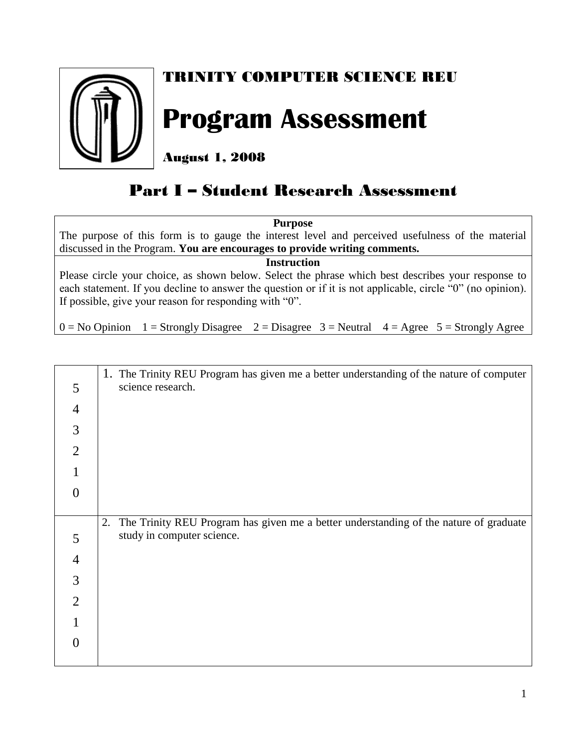

## TRINITY COMPUTER SCIENCE REU

## **Program Assessment**

August 1, 2008

## Part I – Student Research Assessment

**Purpose** The purpose of this form is to gauge the interest level and perceived usefulness of the material discussed in the Program. **You are encourages to provide writing comments.**

**Instruction**

Please circle your choice, as shown below. Select the phrase which best describes your response to each statement. If you decline to answer the question or if it is not applicable, circle "0" (no opinion). If possible, give your reason for responding with "0".

 $0 = No$  Opinion  $1 =$  Strongly Disagree  $2 =$  Disagree  $3 =$  Neutral  $4 =$  Agree  $5 =$  Strongly Agree

|                | 1. The Trinity REU Program has given me a better understanding of the nature of computer    |
|----------------|---------------------------------------------------------------------------------------------|
| 5              | science research.                                                                           |
| $\overline{4}$ |                                                                                             |
| 3              |                                                                                             |
| $\overline{2}$ |                                                                                             |
|                |                                                                                             |
| 0              |                                                                                             |
|                |                                                                                             |
|                |                                                                                             |
|                | The Trinity REU Program has given me a better understanding of the nature of graduate<br>2. |
| 5              | study in computer science.                                                                  |
| $\overline{4}$ |                                                                                             |
| 3              |                                                                                             |
| $\overline{2}$ |                                                                                             |
|                |                                                                                             |
|                |                                                                                             |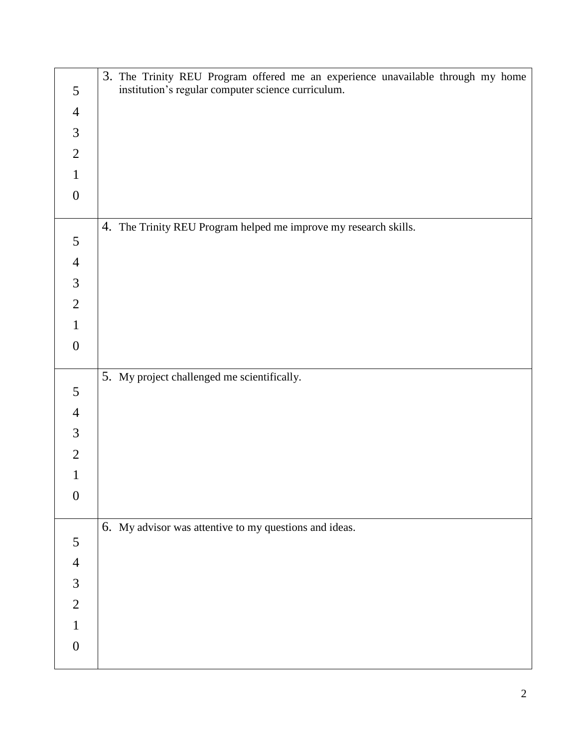|                  | 3. The Trinity REU Program offered me an experience unavailable through my home |
|------------------|---------------------------------------------------------------------------------|
| 5                | institution's regular computer science curriculum.                              |
| $\overline{4}$   |                                                                                 |
| $\mathfrak{Z}$   |                                                                                 |
| $\overline{2}$   |                                                                                 |
| $\mathbf{1}$     |                                                                                 |
| $\boldsymbol{0}$ |                                                                                 |
|                  | 4. The Trinity REU Program helped me improve my research skills.                |
| 5                |                                                                                 |
| $\overline{4}$   |                                                                                 |
| $\mathfrak{Z}$   |                                                                                 |
| $\sqrt{2}$       |                                                                                 |
| $\mathbf{1}$     |                                                                                 |
| $\boldsymbol{0}$ |                                                                                 |
|                  |                                                                                 |
| 5                | 5. My project challenged me scientifically.                                     |
| $\overline{4}$   |                                                                                 |
| $\mathfrak{Z}$   |                                                                                 |
| $\mathfrak{2}$   |                                                                                 |
| 1                |                                                                                 |
| $\boldsymbol{0}$ |                                                                                 |
|                  |                                                                                 |
|                  | 6. My advisor was attentive to my questions and ideas.                          |
| 5                |                                                                                 |
| $\overline{4}$   |                                                                                 |
| $\mathfrak{Z}$   |                                                                                 |
| $\sqrt{2}$       |                                                                                 |
| $\mathbf{1}$     |                                                                                 |
| $\boldsymbol{0}$ |                                                                                 |
|                  |                                                                                 |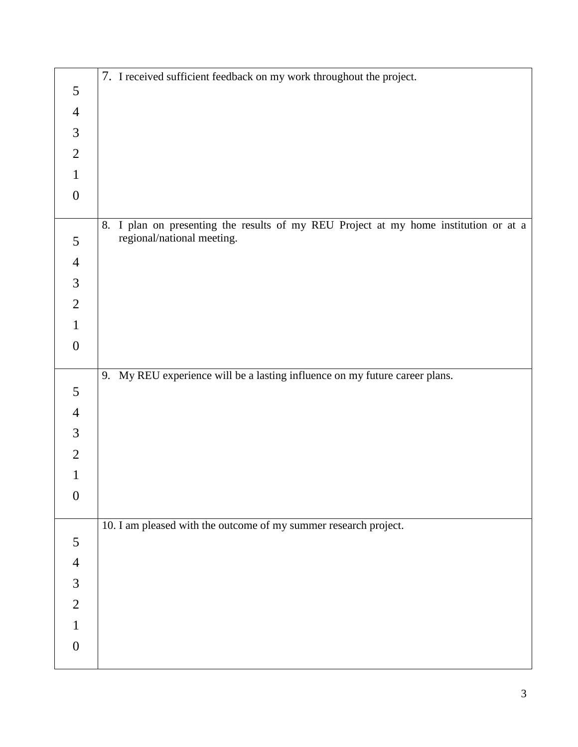|                  | 7. I received sufficient feedback on my work throughout the project.                    |
|------------------|-----------------------------------------------------------------------------------------|
| $\mathfrak{S}$   |                                                                                         |
| $\overline{4}$   |                                                                                         |
| $\mathfrak{Z}$   |                                                                                         |
| $\overline{2}$   |                                                                                         |
| $\mathbf{1}$     |                                                                                         |
| $\boldsymbol{0}$ |                                                                                         |
|                  | I plan on presenting the results of my REU Project at my home institution or at a<br>8. |
| 5                | regional/national meeting.                                                              |
| $\overline{4}$   |                                                                                         |
| $\mathfrak{Z}$   |                                                                                         |
| $\overline{2}$   |                                                                                         |
| $\mathbf{1}$     |                                                                                         |
| $\boldsymbol{0}$ |                                                                                         |
|                  |                                                                                         |
| 5                | 9. My REU experience will be a lasting influence on my future career plans.             |
| $\overline{4}$   |                                                                                         |
| $\mathfrak{Z}$   |                                                                                         |
| $\overline{2}$   |                                                                                         |
| 1                |                                                                                         |
| $\boldsymbol{0}$ |                                                                                         |
|                  |                                                                                         |
|                  | 10. I am pleased with the outcome of my summer research project.                        |
| 5                |                                                                                         |
| $\overline{4}$   |                                                                                         |
| $\mathfrak{Z}$   |                                                                                         |
|                  |                                                                                         |
| $\overline{2}$   |                                                                                         |
| $\mathbf{1}$     |                                                                                         |
| $\boldsymbol{0}$ |                                                                                         |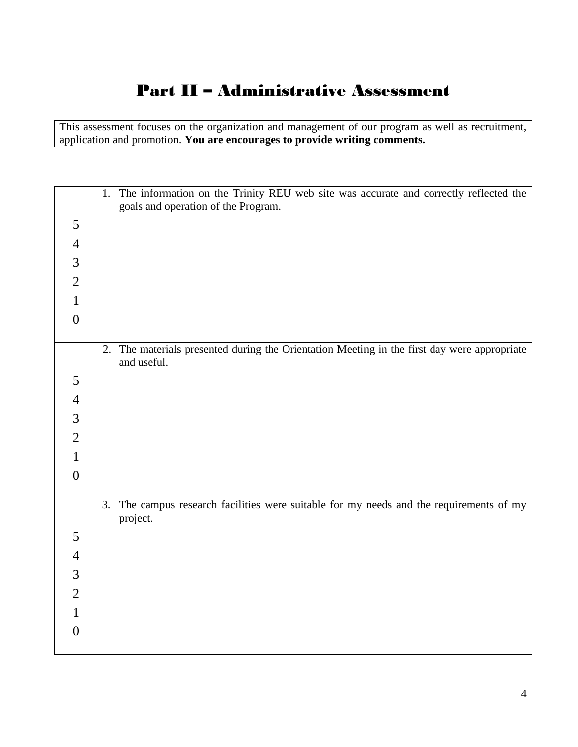## Part II – Administrative Assessment

This assessment focuses on the organization and management of our program as well as recruitment, application and promotion. **You are encourages to provide writing comments.**

|                  | The information on the Trinity REU web site was accurate and correctly reflected the<br>1.<br>goals and operation of the Program. |
|------------------|-----------------------------------------------------------------------------------------------------------------------------------|
| 5                |                                                                                                                                   |
| $\overline{4}$   |                                                                                                                                   |
| $\mathfrak{Z}$   |                                                                                                                                   |
| $\overline{2}$   |                                                                                                                                   |
| $\mathbf{1}$     |                                                                                                                                   |
| $\boldsymbol{0}$ |                                                                                                                                   |
|                  |                                                                                                                                   |
|                  | The materials presented during the Orientation Meeting in the first day were appropriate<br>2.<br>and useful.                     |
|                  |                                                                                                                                   |
| $\mathfrak s$    |                                                                                                                                   |
| $\overline{4}$   |                                                                                                                                   |
| $\mathfrak{Z}$   |                                                                                                                                   |
| $\overline{2}$   |                                                                                                                                   |
| $\mathbf{1}$     |                                                                                                                                   |
| $\boldsymbol{0}$ |                                                                                                                                   |
|                  | 3.                                                                                                                                |
|                  | The campus research facilities were suitable for my needs and the requirements of my<br>project.                                  |
| 5                |                                                                                                                                   |
| $\overline{4}$   |                                                                                                                                   |
| $\mathfrak{Z}$   |                                                                                                                                   |
| $\overline{2}$   |                                                                                                                                   |
| $\mathbf{1}$     |                                                                                                                                   |
| $\boldsymbol{0}$ |                                                                                                                                   |
|                  |                                                                                                                                   |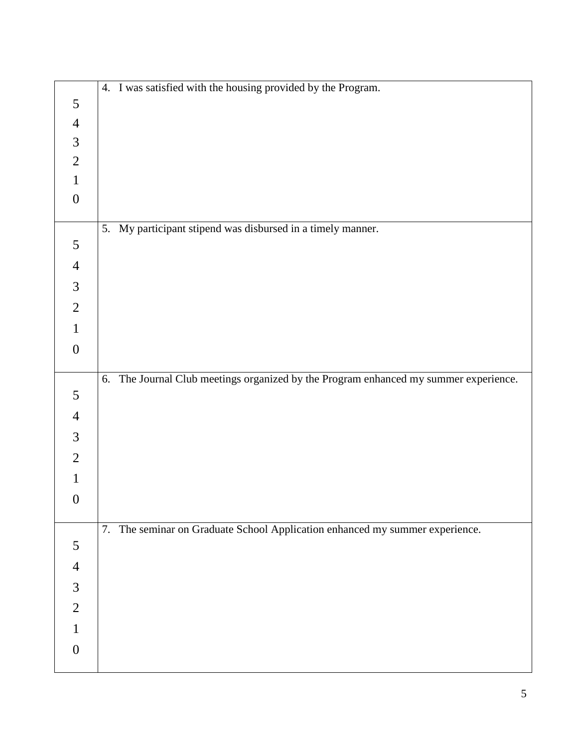|                  | 4. I was satisfied with the housing provided by the Program.                         |
|------------------|--------------------------------------------------------------------------------------|
| $\mathfrak{S}$   |                                                                                      |
| $\overline{4}$   |                                                                                      |
| $\mathfrak 3$    |                                                                                      |
| $\overline{2}$   |                                                                                      |
| $\mathbf{1}$     |                                                                                      |
| $\boldsymbol{0}$ |                                                                                      |
|                  | 5. My participant stipend was disbursed in a timely manner.                          |
| 5                |                                                                                      |
| $\overline{4}$   |                                                                                      |
| $\mathfrak{Z}$   |                                                                                      |
|                  |                                                                                      |
| $\overline{2}$   |                                                                                      |
| $\mathbf{1}$     |                                                                                      |
| $\boldsymbol{0}$ |                                                                                      |
|                  | 6. The Journal Club meetings organized by the Program enhanced my summer experience. |
| 5                |                                                                                      |
| $\overline{4}$   |                                                                                      |
| $\mathfrak{Z}$   |                                                                                      |
| $\overline{2}$   |                                                                                      |
| 1                |                                                                                      |
| $\boldsymbol{0}$ |                                                                                      |
|                  |                                                                                      |
|                  | 7. The seminar on Graduate School Application enhanced my summer experience.         |
| 5                |                                                                                      |
| $\overline{4}$   |                                                                                      |
| $\mathfrak{Z}$   |                                                                                      |
| $\overline{2}$   |                                                                                      |
| 1                |                                                                                      |
| $\boldsymbol{0}$ |                                                                                      |
|                  |                                                                                      |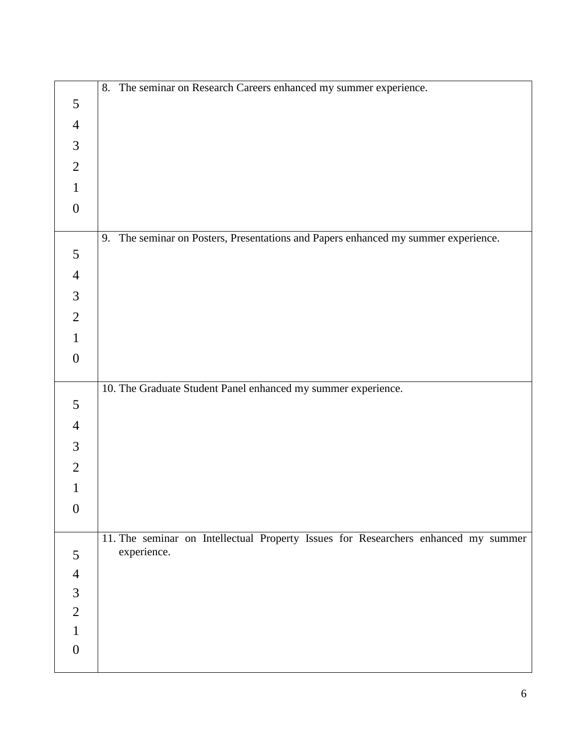|                  | 8. The seminar on Research Careers enhanced my summer experience.                  |
|------------------|------------------------------------------------------------------------------------|
| 5                |                                                                                    |
| $\overline{4}$   |                                                                                    |
| 3                |                                                                                    |
| $\overline{2}$   |                                                                                    |
| $\mathbf{1}$     |                                                                                    |
| $\boldsymbol{0}$ |                                                                                    |
|                  | 9. The seminar on Posters, Presentations and Papers enhanced my summer experience. |
| 5                |                                                                                    |
| $\overline{4}$   |                                                                                    |
| $\mathfrak{Z}$   |                                                                                    |
| $\overline{2}$   |                                                                                    |
| $\mathbf{1}$     |                                                                                    |
| $\boldsymbol{0}$ |                                                                                    |
|                  |                                                                                    |
| $\mathfrak{S}$   | 10. The Graduate Student Panel enhanced my summer experience.                      |
| $\overline{4}$   |                                                                                    |
| 3                |                                                                                    |
| $\overline{2}$   |                                                                                    |
|                  |                                                                                    |
| $\boldsymbol{0}$ |                                                                                    |
|                  |                                                                                    |
|                  | 11. The seminar on Intellectual Property Issues for Researchers enhanced my summer |
| 5                | experience.                                                                        |
| $\overline{4}$   |                                                                                    |
| $\mathfrak{Z}$   |                                                                                    |
| $\overline{2}$   |                                                                                    |
| $\mathbf{1}$     |                                                                                    |
| $\overline{0}$   |                                                                                    |
|                  |                                                                                    |